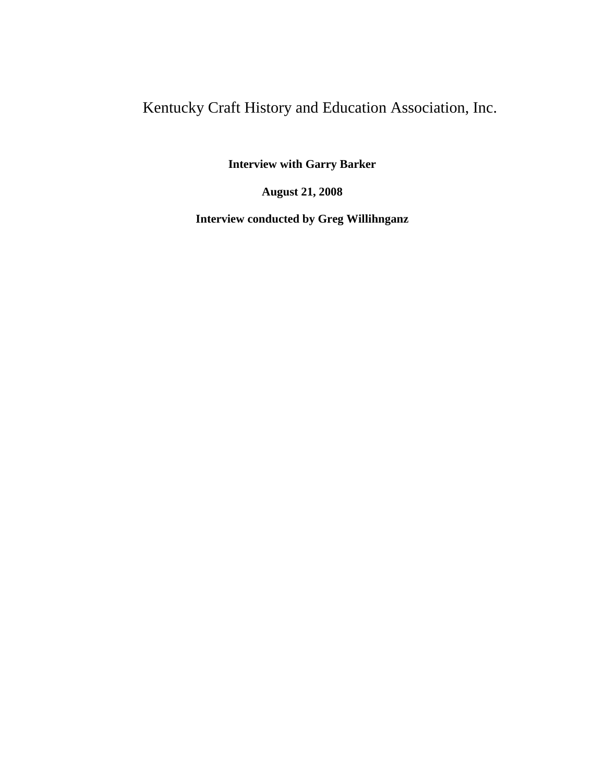# Kentucky Craft History and Education Association, Inc.

**Interview with Garry Barker**

**August 21, 2008**

**Interview conducted by Greg Willihnganz**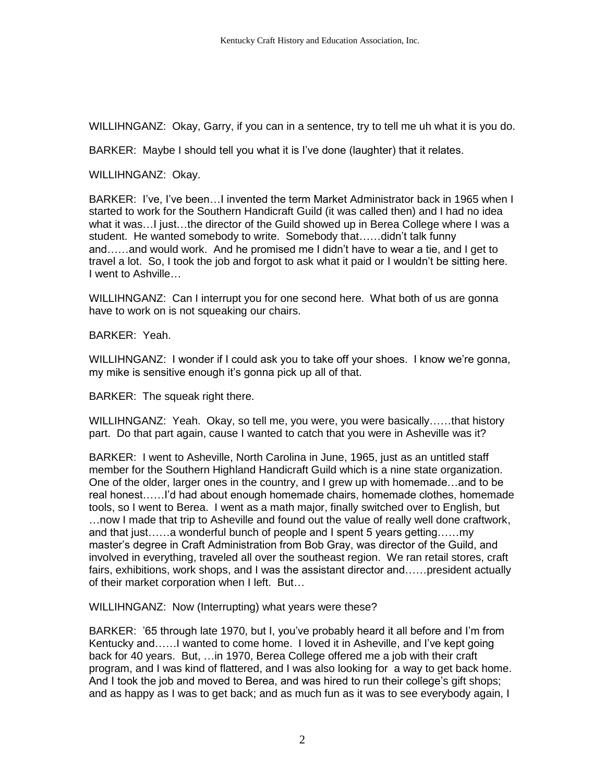WILLIHNGANZ: Okay, Garry, if you can in a sentence, try to tell me uh what it is you do.

BARKER: Maybe I should tell you what it is I've done (laughter) that it relates.

WILLIHNGANZ: Okay.

BARKER: I've, I've been…I invented the term Market Administrator back in 1965 when I started to work for the Southern Handicraft Guild (it was called then) and I had no idea what it was…I just…the director of the Guild showed up in Berea College where I was a student. He wanted somebody to write. Somebody that……didn't talk funny and……and would work. And he promised me I didn't have to wear a tie, and I get to travel a lot. So, I took the job and forgot to ask what it paid or I wouldn't be sitting here. I went to Ashville…

WILLIHNGANZ: Can I interrupt you for one second here. What both of us are gonna have to work on is not squeaking our chairs.

BARKER: Yeah.

WILLIHNGANZ: I wonder if I could ask you to take off your shoes. I know we're gonna, my mike is sensitive enough it's gonna pick up all of that.

BARKER: The squeak right there.

WILLIHNGANZ: Yeah. Okay, so tell me, you were, you were basically……that history part. Do that part again, cause I wanted to catch that you were in Asheville was it?

BARKER: I went to Asheville, North Carolina in June, 1965, just as an untitled staff member for the Southern Highland Handicraft Guild which is a nine state organization. One of the older, larger ones in the country, and I grew up with homemade…and to be real honest……I'd had about enough homemade chairs, homemade clothes, homemade tools, so I went to Berea. I went as a math major, finally switched over to English, but …now I made that trip to Asheville and found out the value of really well done craftwork, and that just……a wonderful bunch of people and I spent 5 years getting……my master's degree in Craft Administration from Bob Gray, was director of the Guild, and involved in everything, traveled all over the southeast region. We ran retail stores, craft fairs, exhibitions, work shops, and I was the assistant director and……president actually of their market corporation when I left. But…

WILLIHNGANZ: Now (Interrupting) what years were these?

BARKER: '65 through late 1970, but I, you've probably heard it all before and I'm from Kentucky and……I wanted to come home. I loved it in Asheville, and I've kept going back for 40 years. But, …in 1970, Berea College offered me a job with their craft program, and I was kind of flattered, and I was also looking for a way to get back home. And I took the job and moved to Berea, and was hired to run their college's gift shops; and as happy as I was to get back; and as much fun as it was to see everybody again, I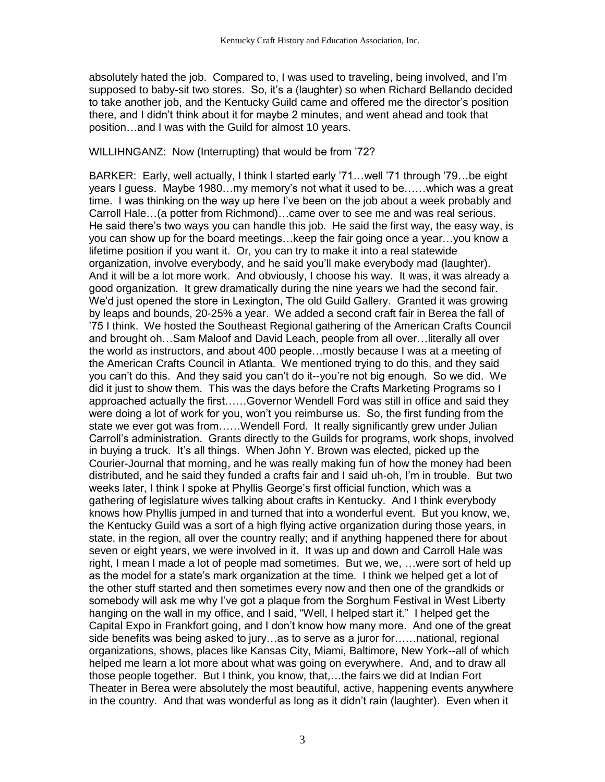absolutely hated the job. Compared to, I was used to traveling, being involved, and I'm supposed to baby-sit two stores. So, it's a (laughter) so when Richard Bellando decided to take another job, and the Kentucky Guild came and offered me the director's position there, and I didn't think about it for maybe 2 minutes, and went ahead and took that position…and I was with the Guild for almost 10 years.

## WILLIHNGANZ: Now (Interrupting) that would be from '72?

BARKER: Early, well actually, I think I started early '71…well '71 through '79…be eight years I guess. Maybe 1980…my memory's not what it used to be……which was a great time. I was thinking on the way up here I've been on the job about a week probably and Carroll Hale…(a potter from Richmond)…came over to see me and was real serious. He said there's two ways you can handle this job. He said the first way, the easy way, is you can show up for the board meetings…keep the fair going once a year…you know a lifetime position if you want it. Or, you can try to make it into a real statewide organization, involve everybody, and he said you'll make everybody mad (laughter). And it will be a lot more work. And obviously, I choose his way. It was, it was already a good organization. It grew dramatically during the nine years we had the second fair. We'd just opened the store in Lexington, The old Guild Gallery. Granted it was growing by leaps and bounds, 20-25% a year. We added a second craft fair in Berea the fall of '75 I think. We hosted the Southeast Regional gathering of the American Crafts Council and brought oh…Sam Maloof and David Leach, people from all over…literally all over the world as instructors, and about 400 people…mostly because I was at a meeting of the American Crafts Council in Atlanta. We mentioned trying to do this, and they said you can't do this. And they said you can't do it--you're not big enough. So we did. We did it just to show them. This was the days before the Crafts Marketing Programs so I approached actually the first……Governor Wendell Ford was still in office and said they were doing a lot of work for you, won't you reimburse us. So, the first funding from the state we ever got was from……Wendell Ford. It really significantly grew under Julian Carroll's administration. Grants directly to the Guilds for programs, work shops, involved in buying a truck. It's all things. When John Y. Brown was elected, picked up the Courier-Journal that morning, and he was really making fun of how the money had been distributed, and he said they funded a crafts fair and I said uh-oh, I'm in trouble. But two weeks later, I think I spoke at Phyllis George's first official function, which was a gathering of legislature wives talking about crafts in Kentucky. And I think everybody knows how Phyllis jumped in and turned that into a wonderful event. But you know, we, the Kentucky Guild was a sort of a high flying active organization during those years, in state, in the region, all over the country really; and if anything happened there for about seven or eight years, we were involved in it. It was up and down and Carroll Hale was right, I mean I made a lot of people mad sometimes. But we, we, ... were sort of held up as the model for a state's mark organization at the time. I think we helped get a lot of the other stuff started and then sometimes every now and then one of the grandkids or somebody will ask me why I've got a plaque from the Sorghum Festival in West Liberty hanging on the wall in my office, and I said, "Well, I helped start it." I helped get the Capital Expo in Frankfort going, and I don't know how many more. And one of the great side benefits was being asked to jury…as to serve as a juror for……national, regional organizations, shows, places like Kansas City, Miami, Baltimore, New York--all of which helped me learn a lot more about what was going on everywhere. And, and to draw all those people together. But I think, you know, that,…the fairs we did at Indian Fort Theater in Berea were absolutely the most beautiful, active, happening events anywhere in the country. And that was wonderful as long as it didn't rain (laughter). Even when it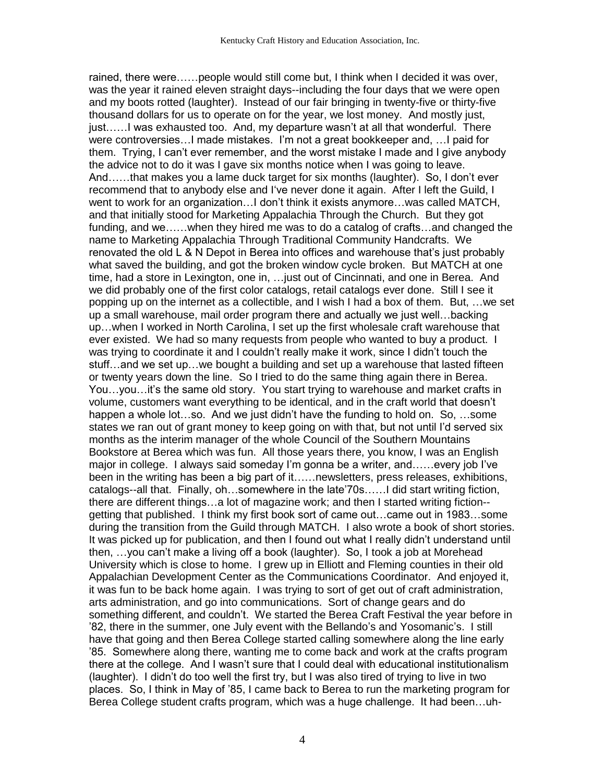rained, there were……people would still come but, I think when I decided it was over, was the year it rained eleven straight days--including the four days that we were open and my boots rotted (laughter). Instead of our fair bringing in twenty-five or thirty-five thousand dollars for us to operate on for the year, we lost money. And mostly just, just……I was exhausted too. And, my departure wasn't at all that wonderful. There were controversies…I made mistakes. I'm not a great bookkeeper and, …I paid for them. Trying, I can't ever remember, and the worst mistake I made and I give anybody the advice not to do it was I gave six months notice when I was going to leave. And……that makes you a lame duck target for six months (laughter). So, I don't ever recommend that to anybody else and I've never done it again. After I left the Guild, I went to work for an organization…I don't think it exists anymore…was called MATCH, and that initially stood for Marketing Appalachia Through the Church. But they got funding, and we……when they hired me was to do a catalog of crafts…and changed the name to Marketing Appalachia Through Traditional Community Handcrafts. We renovated the old L & N Depot in Berea into offices and warehouse that's just probably what saved the building, and got the broken window cycle broken. But MATCH at one time, had a store in Lexington, one in, …just out of Cincinnati, and one in Berea. And we did probably one of the first color catalogs, retail catalogs ever done. Still I see it popping up on the internet as a collectible, and I wish I had a box of them. But, …we set up a small warehouse, mail order program there and actually we just well…backing up…when I worked in North Carolina, I set up the first wholesale craft warehouse that ever existed. We had so many requests from people who wanted to buy a product. I was trying to coordinate it and I couldn't really make it work, since I didn't touch the stuff…and we set up…we bought a building and set up a warehouse that lasted fifteen or twenty years down the line. So I tried to do the same thing again there in Berea. You…you…it's the same old story. You start trying to warehouse and market crafts in volume, customers want everything to be identical, and in the craft world that doesn't happen a whole lot…so. And we just didn't have the funding to hold on. So, …some states we ran out of grant money to keep going on with that, but not until I'd served six months as the interim manager of the whole Council of the Southern Mountains Bookstore at Berea which was fun. All those years there, you know, I was an English major in college. I always said someday I'm gonna be a writer, and……every job I've been in the writing has been a big part of it……newsletters, press releases, exhibitions, catalogs--all that. Finally, oh…somewhere in the late'70s……I did start writing fiction, there are different things…a lot of magazine work; and then I started writing fiction- getting that published. I think my first book sort of came out…came out in 1983…some during the transition from the Guild through MATCH. I also wrote a book of short stories. It was picked up for publication, and then I found out what I really didn't understand until then, …you can't make a living off a book (laughter). So, I took a job at Morehead University which is close to home. I grew up in Elliott and Fleming counties in their old Appalachian Development Center as the Communications Coordinator. And enjoyed it, it was fun to be back home again. I was trying to sort of get out of craft administration, arts administration, and go into communications. Sort of change gears and do something different, and couldn't. We started the Berea Craft Festival the year before in '82, there in the summer, one July event with the Bellando's and Yosomanic's. I still have that going and then Berea College started calling somewhere along the line early '85. Somewhere along there, wanting me to come back and work at the crafts program there at the college. And I wasn't sure that I could deal with educational institutionalism (laughter). I didn't do too well the first try, but I was also tired of trying to live in two places. So, I think in May of '85, I came back to Berea to run the marketing program for Berea College student crafts program, which was a huge challenge. It had been…uh-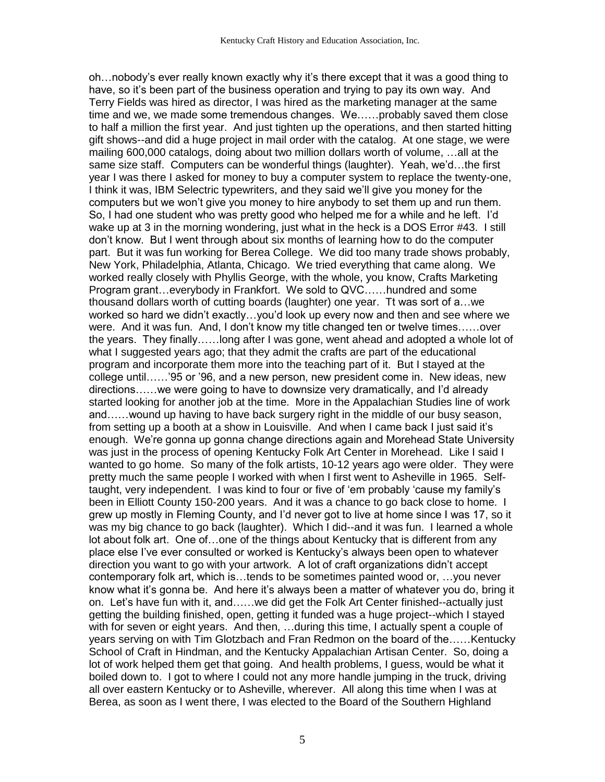oh…nobody's ever really known exactly why it's there except that it was a good thing to have, so it's been part of the business operation and trying to pay its own way. And Terry Fields was hired as director, I was hired as the marketing manager at the same time and we, we made some tremendous changes. We……probably saved them close to half a million the first year. And just tighten up the operations, and then started hitting gift shows--and did a huge project in mail order with the catalog. At one stage, we were mailing 600,000 catalogs, doing about two million dollars worth of volume, …all at the same size staff. Computers can be wonderful things (laughter). Yeah, we'd…the first year I was there I asked for money to buy a computer system to replace the twenty-one, I think it was, IBM Selectric typewriters, and they said we'll give you money for the computers but we won't give you money to hire anybody to set them up and run them. So, I had one student who was pretty good who helped me for a while and he left. I'd wake up at 3 in the morning wondering, just what in the heck is a DOS Error #43. I still don't know. But I went through about six months of learning how to do the computer part. But it was fun working for Berea College. We did too many trade shows probably, New York, Philadelphia, Atlanta, Chicago. We tried everything that came along. We worked really closely with Phyllis George, with the whole, you know, Crafts Marketing Program grant…everybody in Frankfort. We sold to QVC……hundred and some thousand dollars worth of cutting boards (laughter) one year. Tt was sort of a…we worked so hard we didn't exactly…you'd look up every now and then and see where we were. And it was fun. And, I don't know my title changed ten or twelve times……over the years. They finally……long after I was gone, went ahead and adopted a whole lot of what I suggested years ago; that they admit the crafts are part of the educational program and incorporate them more into the teaching part of it. But I stayed at the college until……'95 or '96, and a new person, new president come in. New ideas, new directions……we were going to have to downsize very dramatically, and I'd already started looking for another job at the time. More in the Appalachian Studies line of work and……wound up having to have back surgery right in the middle of our busy season, from setting up a booth at a show in Louisville. And when I came back I just said it's enough. We're gonna up gonna change directions again and Morehead State University was just in the process of opening Kentucky Folk Art Center in Morehead. Like I said I wanted to go home. So many of the folk artists, 10-12 years ago were older. They were pretty much the same people I worked with when I first went to Asheville in 1965. Selftaught, very independent. I was kind to four or five of 'em probably 'cause my family's been in Elliott County 150-200 years. And it was a chance to go back close to home. I grew up mostly in Fleming County, and I'd never got to live at home since I was 17, so it was my big chance to go back (laughter). Which I did--and it was fun. I learned a whole lot about folk art. One of…one of the things about Kentucky that is different from any place else I've ever consulted or worked is Kentucky's always been open to whatever direction you want to go with your artwork. A lot of craft organizations didn't accept contemporary folk art, which is…tends to be sometimes painted wood or, …you never know what it's gonna be. And here it's always been a matter of whatever you do, bring it on. Let's have fun with it, and……we did get the Folk Art Center finished--actually just getting the building finished, open, getting it funded was a huge project--which I stayed with for seven or eight years. And then, …during this time, I actually spent a couple of years serving on with Tim Glotzbach and Fran Redmon on the board of the……Kentucky School of Craft in Hindman, and the Kentucky Appalachian Artisan Center. So, doing a lot of work helped them get that going. And health problems, I guess, would be what it boiled down to. I got to where I could not any more handle jumping in the truck, driving all over eastern Kentucky or to Asheville, wherever. All along this time when I was at Berea, as soon as I went there, I was elected to the Board of the Southern Highland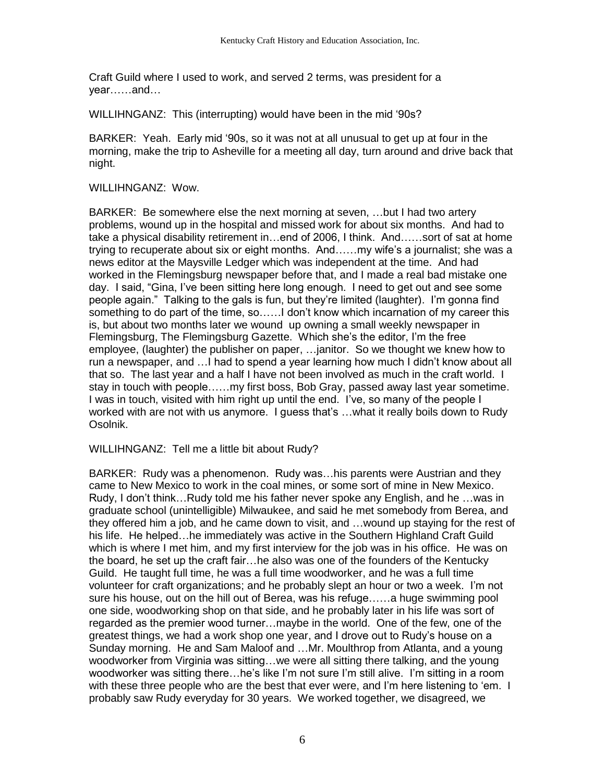Craft Guild where I used to work, and served 2 terms, was president for a year……and…

WILLIHNGANZ: This (interrupting) would have been in the mid '90s?

BARKER: Yeah. Early mid '90s, so it was not at all unusual to get up at four in the morning, make the trip to Asheville for a meeting all day, turn around and drive back that night.

# WILLIHNGANZ: Wow.

BARKER: Be somewhere else the next morning at seven, …but I had two artery problems, wound up in the hospital and missed work for about six months. And had to take a physical disability retirement in…end of 2006, I think. And……sort of sat at home trying to recuperate about six or eight months. And……my wife's a journalist; she was a news editor at the Maysville Ledger which was independent at the time. And had worked in the Flemingsburg newspaper before that, and I made a real bad mistake one day. I said, "Gina, I've been sitting here long enough. I need to get out and see some people again." Talking to the gals is fun, but they're limited (laughter). I'm gonna find something to do part of the time, so……I don't know which incarnation of my career this is, but about two months later we wound up owning a small weekly newspaper in Flemingsburg, The Flemingsburg Gazette. Which she's the editor, I'm the free employee, (laughter) the publisher on paper, …janitor. So we thought we knew how to run a newspaper, and …I had to spend a year learning how much I didn't know about all that so. The last year and a half I have not been involved as much in the craft world. I stay in touch with people……my first boss, Bob Gray, passed away last year sometime. I was in touch, visited with him right up until the end. I've, so many of the people I worked with are not with us anymore. I guess that's …what it really boils down to Rudy Osolnik.

## WILLIHNGANZ: Tell me a little bit about Rudy?

BARKER: Rudy was a phenomenon. Rudy was…his parents were Austrian and they came to New Mexico to work in the coal mines, or some sort of mine in New Mexico. Rudy, I don't think…Rudy told me his father never spoke any English, and he …was in graduate school (unintelligible) Milwaukee, and said he met somebody from Berea, and they offered him a job, and he came down to visit, and …wound up staying for the rest of his life. He helped…he immediately was active in the Southern Highland Craft Guild which is where I met him, and my first interview for the job was in his office. He was on the board, he set up the craft fair…he also was one of the founders of the Kentucky Guild. He taught full time, he was a full time woodworker, and he was a full time volunteer for craft organizations; and he probably slept an hour or two a week. I'm not sure his house, out on the hill out of Berea, was his refuge……a huge swimming pool one side, woodworking shop on that side, and he probably later in his life was sort of regarded as the premier wood turner…maybe in the world. One of the few, one of the greatest things, we had a work shop one year, and I drove out to Rudy's house on a Sunday morning. He and Sam Maloof and …Mr. Moulthrop from Atlanta, and a young woodworker from Virginia was sitting…we were all sitting there talking, and the young woodworker was sitting there…he's like I'm not sure I'm still alive. I'm sitting in a room with these three people who are the best that ever were, and I'm here listening to 'em. I probably saw Rudy everyday for 30 years. We worked together, we disagreed, we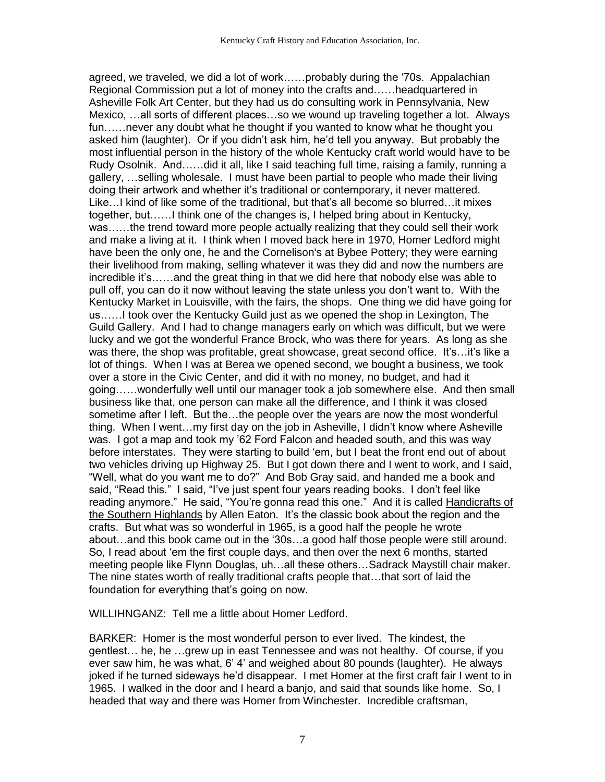agreed, we traveled, we did a lot of work……probably during the '70s. Appalachian Regional Commission put a lot of money into the crafts and……headquartered in Asheville Folk Art Center, but they had us do consulting work in Pennsylvania, New Mexico, …all sorts of different places…so we wound up traveling together a lot. Always fun……never any doubt what he thought if you wanted to know what he thought you asked him (laughter). Or if you didn't ask him, he'd tell you anyway. But probably the most influential person in the history of the whole Kentucky craft world would have to be Rudy Osolnik. And……did it all, like I said teaching full time, raising a family, running a gallery, …selling wholesale. I must have been partial to people who made their living doing their artwork and whether it's traditional or contemporary, it never mattered. Like…I kind of like some of the traditional, but that's all become so blurred…it mixes together, but……I think one of the changes is, I helped bring about in Kentucky, was……the trend toward more people actually realizing that they could sell their work and make a living at it. I think when I moved back here in 1970, Homer Ledford might have been the only one, he and the Cornelison's at Bybee Pottery; they were earning their livelihood from making, selling whatever it was they did and now the numbers are incredible it's……and the great thing in that we did here that nobody else was able to pull off, you can do it now without leaving the state unless you don't want to. With the Kentucky Market in Louisville, with the fairs, the shops. One thing we did have going for us……I took over the Kentucky Guild just as we opened the shop in Lexington, The Guild Gallery. And I had to change managers early on which was difficult, but we were lucky and we got the wonderful France Brock, who was there for years. As long as she was there, the shop was profitable, great showcase, great second office. It's…it's like a lot of things. When I was at Berea we opened second, we bought a business, we took over a store in the Civic Center, and did it with no money, no budget, and had it going……wonderfully well until our manager took a job somewhere else. And then small business like that, one person can make all the difference, and I think it was closed sometime after I left. But the…the people over the years are now the most wonderful thing. When I went…my first day on the job in Asheville, I didn't know where Asheville was. I got a map and took my '62 Ford Falcon and headed south, and this was way before interstates. They were starting to build 'em, but I beat the front end out of about two vehicles driving up Highway 25. But I got down there and I went to work, and I said, "Well, what do you want me to do?" And Bob Gray said, and handed me a book and said, "Read this." I said, "I've just spent four years reading books. I don't feel like reading anymore." He said, "You're gonna read this one." And it is called Handicrafts of the Southern Highlands by Allen Eaton. It's the classic book about the region and the crafts. But what was so wonderful in 1965, is a good half the people he wrote about…and this book came out in the '30s…a good half those people were still around. So, I read about 'em the first couple days, and then over the next 6 months, started meeting people like Flynn Douglas, uh…all these others…Sadrack Maystill chair maker. The nine states worth of really traditional crafts people that…that sort of laid the foundation for everything that's going on now.

WILLIHNGANZ: Tell me a little about Homer Ledford.

BARKER: Homer is the most wonderful person to ever lived. The kindest, the gentlest… he, he …grew up in east Tennessee and was not healthy. Of course, if you ever saw him, he was what, 6' 4' and weighed about 80 pounds (laughter). He always joked if he turned sideways he'd disappear. I met Homer at the first craft fair I went to in 1965. I walked in the door and I heard a banjo, and said that sounds like home. So, I headed that way and there was Homer from Winchester. Incredible craftsman,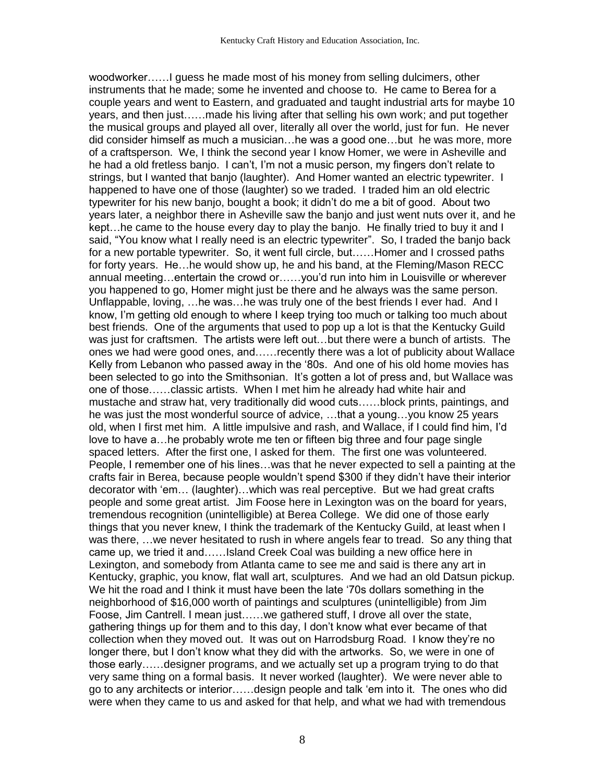woodworker……I guess he made most of his money from selling dulcimers, other instruments that he made; some he invented and choose to. He came to Berea for a couple years and went to Eastern, and graduated and taught industrial arts for maybe 10 years, and then just……made his living after that selling his own work; and put together the musical groups and played all over, literally all over the world, just for fun. He never did consider himself as much a musician…he was a good one…but he was more, more of a craftsperson. We, I think the second year I know Homer, we were in Asheville and he had a old fretless banjo. I can't, I'm not a music person, my fingers don't relate to strings, but I wanted that banjo (laughter). And Homer wanted an electric typewriter. I happened to have one of those (laughter) so we traded. I traded him an old electric typewriter for his new banjo, bought a book; it didn't do me a bit of good. About two years later, a neighbor there in Asheville saw the banjo and just went nuts over it, and he kept…he came to the house every day to play the banjo. He finally tried to buy it and I said, "You know what I really need is an electric typewriter". So, I traded the banjo back for a new portable typewriter. So, it went full circle, but……Homer and I crossed paths for forty years. He…he would show up, he and his band, at the Fleming/Mason RECC annual meeting…entertain the crowd or……you'd run into him in Louisville or wherever you happened to go, Homer might just be there and he always was the same person. Unflappable, loving, …he was…he was truly one of the best friends I ever had. And I know, I'm getting old enough to where I keep trying too much or talking too much about best friends. One of the arguments that used to pop up a lot is that the Kentucky Guild was just for craftsmen. The artists were left out…but there were a bunch of artists. The ones we had were good ones, and……recently there was a lot of publicity about Wallace Kelly from Lebanon who passed away in the '80s. And one of his old home movies has been selected to go into the Smithsonian. It's gotten a lot of press and, but Wallace was one of those……classic artists. When I met him he already had white hair and mustache and straw hat, very traditionally did wood cuts……block prints, paintings, and he was just the most wonderful source of advice, …that a young…you know 25 years old, when I first met him. A little impulsive and rash, and Wallace, if I could find him, I'd love to have a…he probably wrote me ten or fifteen big three and four page single spaced letters. After the first one, I asked for them. The first one was volunteered. People, I remember one of his lines…was that he never expected to sell a painting at the crafts fair in Berea, because people wouldn't spend \$300 if they didn't have their interior decorator with 'em… (laughter)…which was real perceptive. But we had great crafts people and some great artist. Jim Foose here in Lexington was on the board for years, tremendous recognition (unintelligible) at Berea College. We did one of those early things that you never knew, I think the trademark of the Kentucky Guild, at least when I was there, …we never hesitated to rush in where angels fear to tread. So any thing that came up, we tried it and……Island Creek Coal was building a new office here in Lexington, and somebody from Atlanta came to see me and said is there any art in Kentucky, graphic, you know, flat wall art, sculptures. And we had an old Datsun pickup. We hit the road and I think it must have been the late '70s dollars something in the neighborhood of \$16,000 worth of paintings and sculptures (unintelligible) from Jim Foose, Jim Cantrell. I mean just……we gathered stuff, I drove all over the state, gathering things up for them and to this day, I don't know what ever became of that collection when they moved out. It was out on Harrodsburg Road. I know they're no longer there, but I don't know what they did with the artworks. So, we were in one of those early……designer programs, and we actually set up a program trying to do that very same thing on a formal basis. It never worked (laughter). We were never able to go to any architects or interior……design people and talk 'em into it. The ones who did were when they came to us and asked for that help, and what we had with tremendous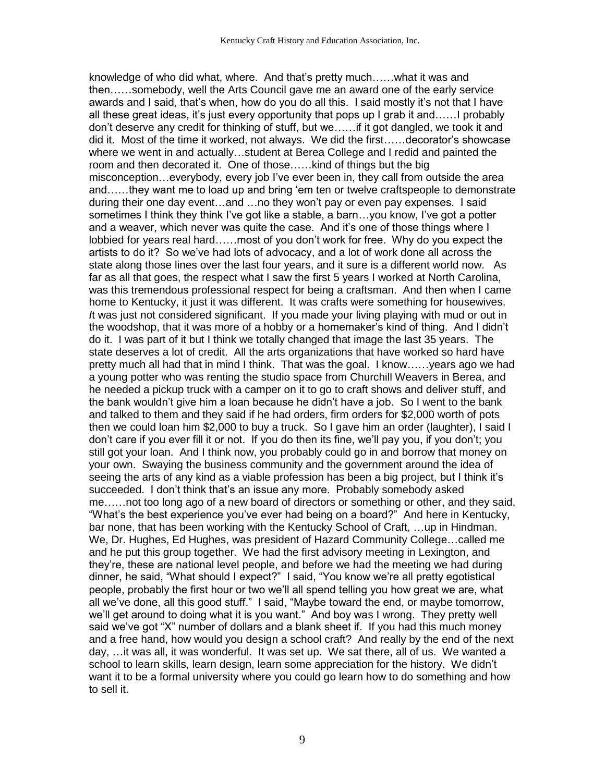knowledge of who did what, where. And that's pretty much……what it was and then……somebody, well the Arts Council gave me an award one of the early service awards and I said, that's when, how do you do all this. I said mostly it's not that I have all these great ideas, it's just every opportunity that pops up I grab it and……I probably don't deserve any credit for thinking of stuff, but we……if it got dangled, we took it and did it. Most of the time it worked, not always. We did the first……decorator's showcase where we went in and actually…student at Berea College and I redid and painted the room and then decorated it. One of those……kind of things but the big misconception…everybody, every job I've ever been in, they call from outside the area and……they want me to load up and bring 'em ten or twelve craftspeople to demonstrate during their one day event…and …no they won't pay or even pay expenses. I said sometimes I think they think I've got like a stable, a barn…you know, I've got a potter and a weaver, which never was quite the case. And it's one of those things where I lobbied for years real hard……most of you don't work for free. Why do you expect the artists to do it? So we've had lots of advocacy, and a lot of work done all across the state along those lines over the last four years, and it sure is a different world now. As far as all that goes, the respect what I saw the first 5 years I worked at North Carolina, was this tremendous professional respect for being a craftsman. And then when I came home to Kentucky, it just it was different. It was crafts were something for housewives. *I*t was just not considered significant. If you made your living playing with mud or out in the woodshop, that it was more of a hobby or a homemaker's kind of thing. And I didn't do it. I was part of it but I think we totally changed that image the last 35 years. The state deserves a lot of credit. All the arts organizations that have worked so hard have pretty much all had that in mind I think. That was the goal. I know……years ago we had a young potter who was renting the studio space from Churchill Weavers in Berea, and he needed a pickup truck with a camper on it to go to craft shows and deliver stuff, and the bank wouldn't give him a loan because he didn't have a job. So I went to the bank and talked to them and they said if he had orders, firm orders for \$2,000 worth of pots then we could loan him \$2,000 to buy a truck. So I gave him an order (laughter), I said I don't care if you ever fill it or not. If you do then its fine, we'll pay you, if you don't; you still got your loan. And I think now, you probably could go in and borrow that money on your own. Swaying the business community and the government around the idea of seeing the arts of any kind as a viable profession has been a big project, but I think it's succeeded. I don't think that's an issue any more. Probably somebody asked me……not too long ago of a new board of directors or something or other, and they said, "What's the best experience you've ever had being on a board?" And here in Kentucky, bar none, that has been working with the Kentucky School of Craft, …up in Hindman. We, Dr. Hughes, Ed Hughes, was president of Hazard Community College…called me and he put this group together. We had the first advisory meeting in Lexington, and they're, these are national level people, and before we had the meeting we had during dinner, he said, "What should I expect?" I said, "You know we're all pretty egotistical people, probably the first hour or two we'll all spend telling you how great we are, what all we've done, all this good stuff." I said, "Maybe toward the end, or maybe tomorrow, we'll get around to doing what it is you want." And boy was I wrong. They pretty well said we've got "X" number of dollars and a blank sheet if. If you had this much money and a free hand, how would you design a school craft? And really by the end of the next day, …it was all, it was wonderful. It was set up. We sat there, all of us. We wanted a school to learn skills, learn design, learn some appreciation for the history. We didn't want it to be a formal university where you could go learn how to do something and how to sell it.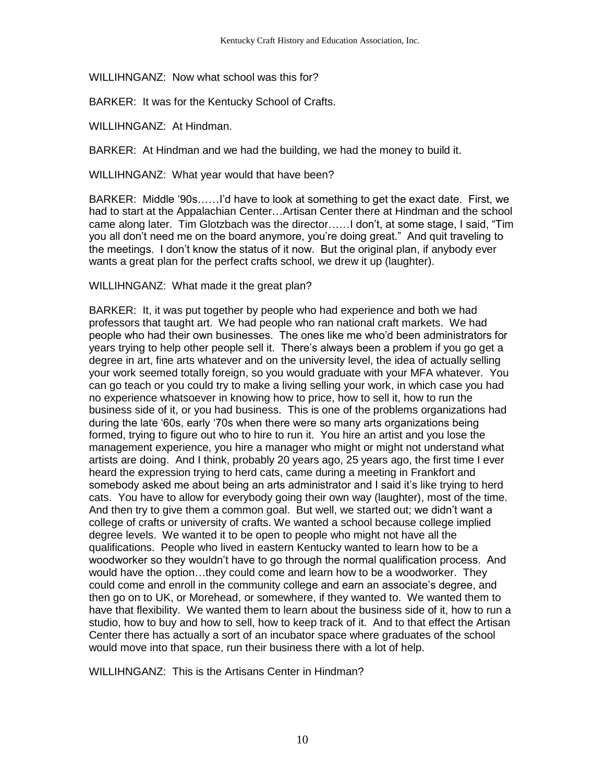WILLIHNGANZ: Now what school was this for?

BARKER: It was for the Kentucky School of Crafts.

WILLIHNGANZ: At Hindman.

BARKER: At Hindman and we had the building, we had the money to build it.

WILLIHNGANZ: What year would that have been?

BARKER: Middle '90s……I'd have to look at something to get the exact date. First, we had to start at the Appalachian Center…Artisan Center there at Hindman and the school came along later. Tim Glotzbach was the director……I don't, at some stage, I said, "Tim you all don't need me on the board anymore, you're doing great." And quit traveling to the meetings. I don't know the status of it now. But the original plan, if anybody ever wants a great plan for the perfect crafts school, we drew it up (laughter).

WILLIHNGANZ: What made it the great plan?

BARKER: It, it was put together by people who had experience and both we had professors that taught art. We had people who ran national craft markets. We had people who had their own businesses. The ones like me who'd been administrators for years trying to help other people sell it. There's always been a problem if you go get a degree in art, fine arts whatever and on the university level, the idea of actually selling your work seemed totally foreign, so you would graduate with your MFA whatever. You can go teach or you could try to make a living selling your work, in which case you had no experience whatsoever in knowing how to price, how to sell it, how to run the business side of it, or you had business. This is one of the problems organizations had during the late '60s, early '70s when there were so many arts organizations being formed, trying to figure out who to hire to run it. You hire an artist and you lose the management experience, you hire a manager who might or might not understand what artists are doing. And I think, probably 20 years ago, 25 years ago, the first time I ever heard the expression trying to herd cats, came during a meeting in Frankfort and somebody asked me about being an arts administrator and I said it's like trying to herd cats. You have to allow for everybody going their own way (laughter), most of the time. And then try to give them a common goal. But well, we started out; we didn't want a college of crafts or university of crafts. We wanted a school because college implied degree levels. We wanted it to be open to people who might not have all the qualifications. People who lived in eastern Kentucky wanted to learn how to be a woodworker so they wouldn't have to go through the normal qualification process. And would have the option…they could come and learn how to be a woodworker. They could come and enroll in the community college and earn an associate's degree, and then go on to UK, or Morehead, or somewhere, if they wanted to. We wanted them to have that flexibility. We wanted them to learn about the business side of it, how to run a studio, how to buy and how to sell, how to keep track of it. And to that effect the Artisan Center there has actually a sort of an incubator space where graduates of the school would move into that space, run their business there with a lot of help.

WILLIHNGANZ: This is the Artisans Center in Hindman?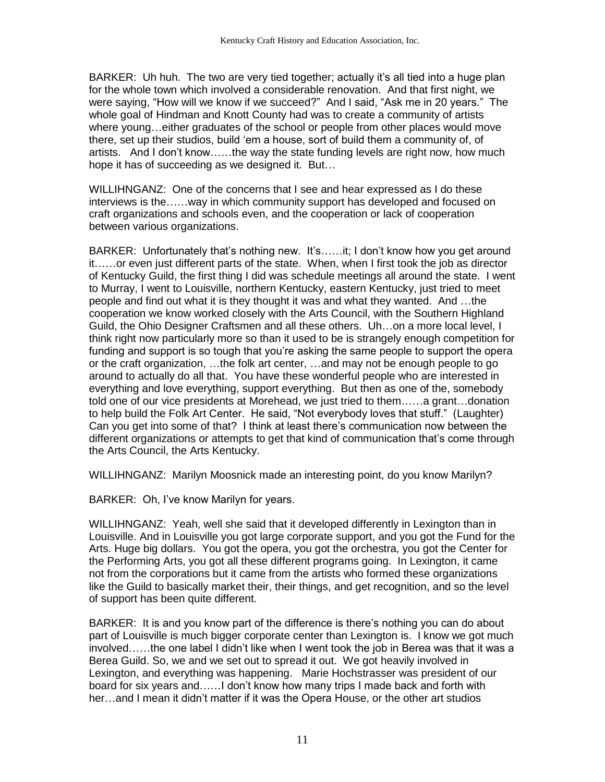BARKER: Uh huh. The two are very tied together; actually it's all tied into a huge plan for the whole town which involved a considerable renovation. And that first night, we were saying, "How will we know if we succeed?" And I said, "Ask me in 20 years." The whole goal of Hindman and Knott County had was to create a community of artists where young…either graduates of the school or people from other places would move there, set up their studios, build 'em a house, sort of build them a community of, of artists. And I don't know……the way the state funding levels are right now, how much hope it has of succeeding as we designed it. But…

WILLIHNGANZ: One of the concerns that I see and hear expressed as I do these interviews is the……way in which community support has developed and focused on craft organizations and schools even, and the cooperation or lack of cooperation between various organizations.

BARKER: Unfortunately that's nothing new. It's……it; I don't know how you get around it……or even just different parts of the state. When, when I first took the job as director of Kentucky Guild, the first thing I did was schedule meetings all around the state. I went to Murray, I went to Louisville, northern Kentucky, eastern Kentucky, just tried to meet people and find out what it is they thought it was and what they wanted. And …the cooperation we know worked closely with the Arts Council, with the Southern Highland Guild, the Ohio Designer Craftsmen and all these others. Uh…on a more local level, I think right now particularly more so than it used to be is strangely enough competition for funding and support is so tough that you're asking the same people to support the opera or the craft organization, …the folk art center, …and may not be enough people to go around to actually do all that. You have these wonderful people who are interested in everything and love everything, support everything. But then as one of the, somebody told one of our vice presidents at Morehead, we just tried to them……a grant…donation to help build the Folk Art Center. He said, "Not everybody loves that stuff." (Laughter) Can you get into some of that? I think at least there's communication now between the different organizations or attempts to get that kind of communication that's come through the Arts Council, the Arts Kentucky.

WILLIHNGANZ: Marilyn Moosnick made an interesting point, do you know Marilyn?

BARKER: Oh, I've know Marilyn for years.

WILLIHNGANZ: Yeah, well she said that it developed differently in Lexington than in Louisville. And in Louisville you got large corporate support, and you got the Fund for the Arts. Huge big dollars. You got the opera, you got the orchestra, you got the Center for the Performing Arts, you got all these different programs going. In Lexington, it came not from the corporations but it came from the artists who formed these organizations like the Guild to basically market their, their things, and get recognition, and so the level of support has been quite different.

BARKER: It is and you know part of the difference is there's nothing you can do about part of Louisville is much bigger corporate center than Lexington is. I know we got much involved……the one label I didn't like when I went took the job in Berea was that it was a Berea Guild. So, we and we set out to spread it out. We got heavily involved in Lexington, and everything was happening. Marie Hochstrasser was president of our board for six years and……I don't know how many trips I made back and forth with her…and I mean it didn't matter if it was the Opera House, or the other art studios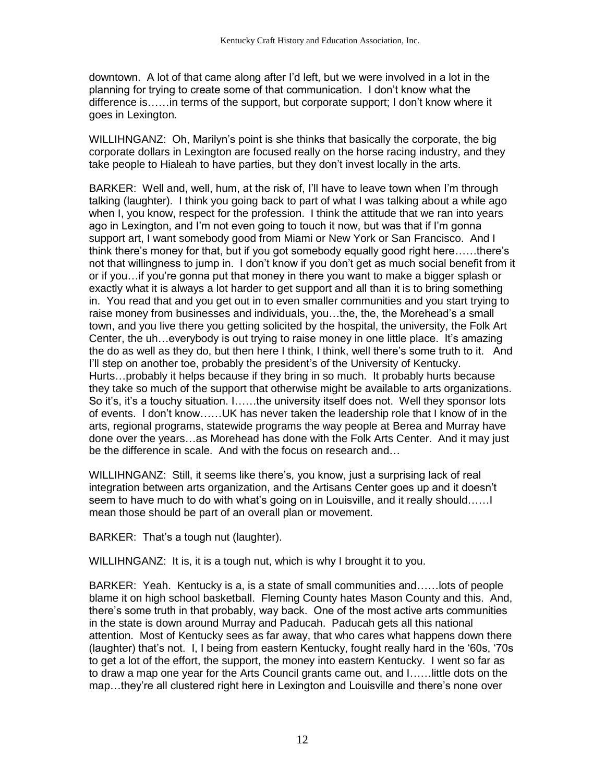downtown. A lot of that came along after I'd left, but we were involved in a lot in the planning for trying to create some of that communication. I don't know what the difference is……in terms of the support, but corporate support; I don't know where it goes in Lexington.

WILLIHNGANZ: Oh, Marilyn's point is she thinks that basically the corporate, the big corporate dollars in Lexington are focused really on the horse racing industry, and they take people to Hialeah to have parties, but they don't invest locally in the arts.

BARKER: Well and, well, hum, at the risk of, I'll have to leave town when I'm through talking (laughter). I think you going back to part of what I was talking about a while ago when I, you know, respect for the profession. I think the attitude that we ran into years ago in Lexington, and I'm not even going to touch it now, but was that if I'm gonna support art, I want somebody good from Miami or New York or San Francisco. And I think there's money for that, but if you got somebody equally good right here……there's not that willingness to jump in. I don't know if you don't get as much social benefit from it or if you…if you're gonna put that money in there you want to make a bigger splash or exactly what it is always a lot harder to get support and all than it is to bring something in. You read that and you get out in to even smaller communities and you start trying to raise money from businesses and individuals, you…the, the, the Morehead's a small town, and you live there you getting solicited by the hospital, the university, the Folk Art Center, the uh…everybody is out trying to raise money in one little place. It's amazing the do as well as they do, but then here I think, I think, well there's some truth to it. And I'll step on another toe, probably the president's of the University of Kentucky. Hurts…probably it helps because if they bring in so much. It probably hurts because they take so much of the support that otherwise might be available to arts organizations. So it's, it's a touchy situation. I……the university itself does not. Well they sponsor lots of events. I don't know……UK has never taken the leadership role that I know of in the arts, regional programs, statewide programs the way people at Berea and Murray have done over the years…as Morehead has done with the Folk Arts Center. And it may just be the difference in scale. And with the focus on research and…

WILLIHNGANZ: Still, it seems like there's, you know, just a surprising lack of real integration between arts organization, and the Artisans Center goes up and it doesn't seem to have much to do with what's going on in Louisville, and it really should……I mean those should be part of an overall plan or movement.

BARKER: That's a tough nut (laughter).

WILLIHNGANZ: It is, it is a tough nut, which is why I brought it to you.

BARKER: Yeah. Kentucky is a, is a state of small communities and……lots of people blame it on high school basketball. Fleming County hates Mason County and this. And, there's some truth in that probably, way back. One of the most active arts communities in the state is down around Murray and Paducah. Paducah gets all this national attention. Most of Kentucky sees as far away, that who cares what happens down there (laughter) that's not. I, I being from eastern Kentucky, fought really hard in the '60s, '70s to get a lot of the effort, the support, the money into eastern Kentucky. I went so far as to draw a map one year for the Arts Council grants came out, and I……little dots on the map…they're all clustered right here in Lexington and Louisville and there's none over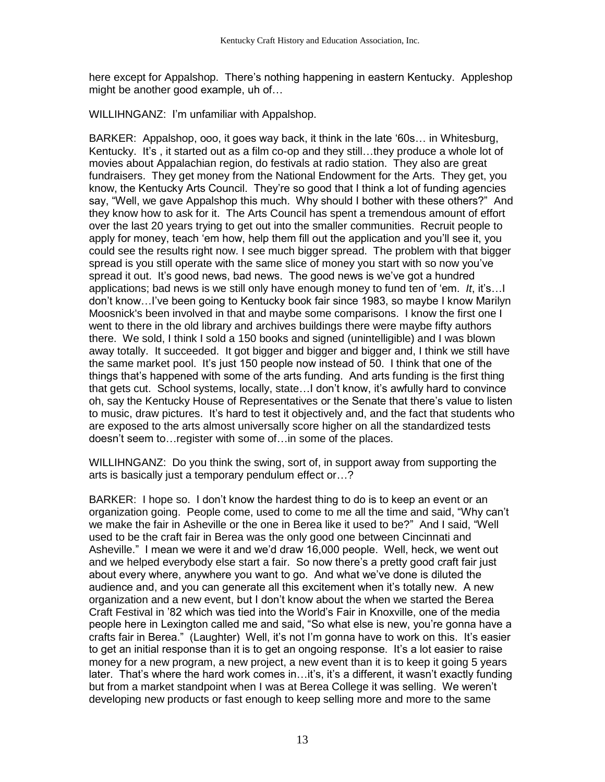here except for Appalshop. There's nothing happening in eastern Kentucky. Appleshop might be another good example, uh of…

WILLIHNGANZ: I'm unfamiliar with Appalshop.

BARKER: Appalshop, ooo, it goes way back, it think in the late '60s… in Whitesburg, Kentucky. It's , it started out as a film co-op and they still…they produce a whole lot of movies about Appalachian region, do festivals at radio station. They also are great fundraisers. They get money from the National Endowment for the Arts. They get, you know, the Kentucky Arts Council. They're so good that I think a lot of funding agencies say, "Well, we gave Appalshop this much. Why should I bother with these others?" And they know how to ask for it. The Arts Council has spent a tremendous amount of effort over the last 20 years trying to get out into the smaller communities. Recruit people to apply for money, teach 'em how, help them fill out the application and you'll see it, you could see the results right now. I see much bigger spread. The problem with that bigger spread is you still operate with the same slice of money you start with so now you've spread it out. It's good news, bad news. The good news is we've got a hundred applications; bad news is we still only have enough money to fund ten of 'em. *It*, it's…I don't know…I've been going to Kentucky book fair since 1983, so maybe I know Marilyn Moosnick's been involved in that and maybe some comparisons. I know the first one I went to there in the old library and archives buildings there were maybe fifty authors there. We sold, I think I sold a 150 books and signed (unintelligible) and I was blown away totally. It succeeded. It got bigger and bigger and bigger and, I think we still have the same market pool. It's just 150 people now instead of 50. I think that one of the things that's happened with some of the arts funding. And arts funding is the first thing that gets cut. School systems, locally, state…I don't know, it's awfully hard to convince oh, say the Kentucky House of Representatives or the Senate that there's value to listen to music, draw pictures. It's hard to test it objectively and, and the fact that students who are exposed to the arts almost universally score higher on all the standardized tests doesn't seem to…register with some of…in some of the places.

WILLIHNGANZ: Do you think the swing, sort of, in support away from supporting the arts is basically just a temporary pendulum effect or…?

BARKER: I hope so. I don't know the hardest thing to do is to keep an event or an organization going. People come, used to come to me all the time and said, "Why can't we make the fair in Asheville or the one in Berea like it used to be?" And I said, "Well used to be the craft fair in Berea was the only good one between Cincinnati and Asheville." I mean we were it and we'd draw 16,000 people. Well, heck, we went out and we helped everybody else start a fair. So now there's a pretty good craft fair just about every where, anywhere you want to go. And what we've done is diluted the audience and, and you can generate all this excitement when it's totally new. A new organization and a new event, but I don't know about the when we started the Berea Craft Festival in '82 which was tied into the World's Fair in Knoxville, one of the media people here in Lexington called me and said, "So what else is new, you're gonna have a crafts fair in Berea." (Laughter) Well, it's not I'm gonna have to work on this. It's easier to get an initial response than it is to get an ongoing response. It's a lot easier to raise money for a new program, a new project, a new event than it is to keep it going 5 years later. That's where the hard work comes in…it's, it's a different, it wasn't exactly funding but from a market standpoint when I was at Berea College it was selling. We weren't developing new products or fast enough to keep selling more and more to the same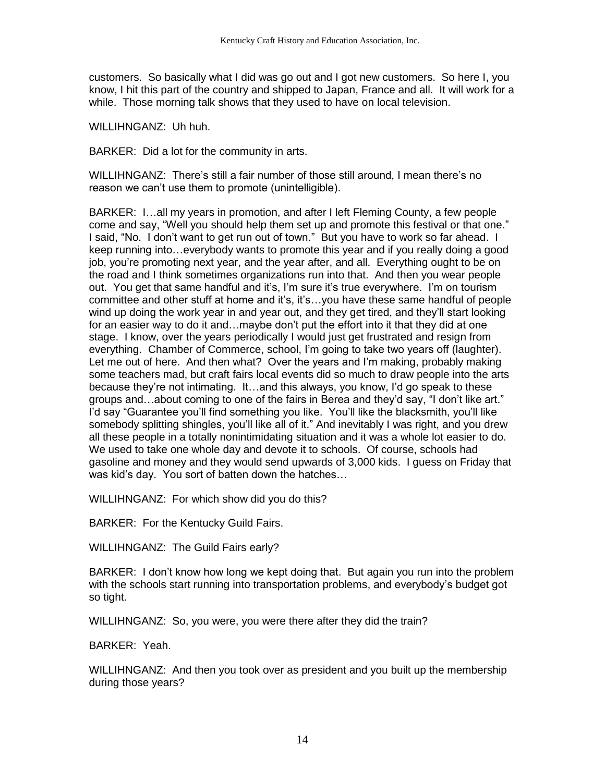customers. So basically what I did was go out and I got new customers. So here I, you know, I hit this part of the country and shipped to Japan, France and all. It will work for a while. Those morning talk shows that they used to have on local television.

WILLIHNGANZ: Uh huh.

BARKER: Did a lot for the community in arts.

WILLIHNGANZ: There's still a fair number of those still around, I mean there's no reason we can't use them to promote (unintelligible).

BARKER: I…all my years in promotion, and after I left Fleming County, a few people come and say, "Well you should help them set up and promote this festival or that one." I said, "No. I don't want to get run out of town." But you have to work so far ahead. I keep running into…everybody wants to promote this year and if you really doing a good job, you're promoting next year, and the year after, and all. Everything ought to be on the road and I think sometimes organizations run into that. And then you wear people out. You get that same handful and it's, I'm sure it's true everywhere. I'm on tourism committee and other stuff at home and it's, it's…you have these same handful of people wind up doing the work year in and year out, and they get tired, and they'll start looking for an easier way to do it and…maybe don't put the effort into it that they did at one stage. I know, over the years periodically I would just get frustrated and resign from everything. Chamber of Commerce, school, I'm going to take two years off (laughter). Let me out of here. And then what? Over the years and I'm making, probably making some teachers mad, but craft fairs local events did so much to draw people into the arts because they're not intimating. It…and this always, you know, I'd go speak to these groups and…about coming to one of the fairs in Berea and they'd say, "I don't like art." I'd say "Guarantee you'll find something you like. You'll like the blacksmith, you'll like somebody splitting shingles, you'll like all of it." And inevitably I was right, and you drew all these people in a totally nonintimidating situation and it was a whole lot easier to do. We used to take one whole day and devote it to schools. Of course, schools had gasoline and money and they would send upwards of 3,000 kids. I guess on Friday that was kid's day. You sort of batten down the hatches…

WILLIHNGANZ: For which show did you do this?

BARKER: For the Kentucky Guild Fairs.

WILLIHNGANZ: The Guild Fairs early?

BARKER: I don't know how long we kept doing that. But again you run into the problem with the schools start running into transportation problems, and everybody's budget got so tight.

WILLIHNGANZ: So, you were, you were there after they did the train?

BARKER: Yeah.

WILLIHNGANZ: And then you took over as president and you built up the membership during those years?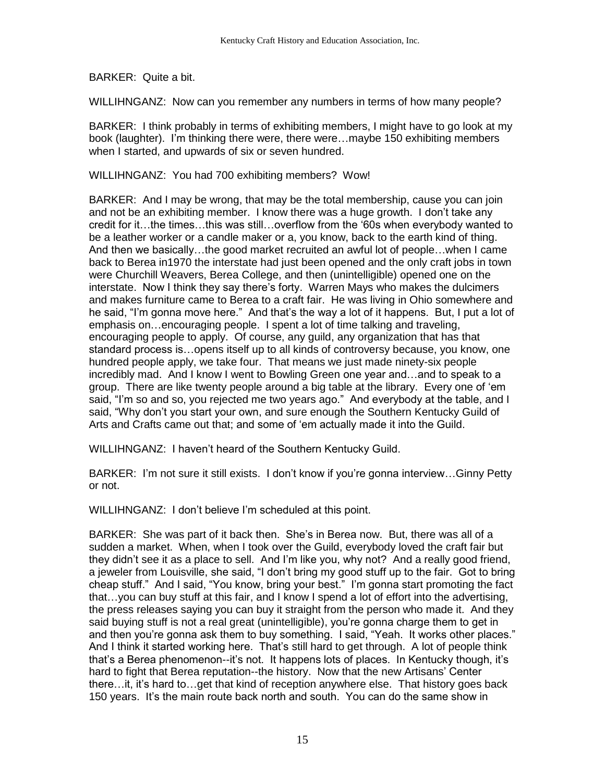BARKER: Quite a bit.

WILLIHNGANZ: Now can you remember any numbers in terms of how many people?

BARKER: I think probably in terms of exhibiting members, I might have to go look at my book (laughter). I'm thinking there were, there were…maybe 150 exhibiting members when I started, and upwards of six or seven hundred.

WILLIHNGANZ: You had 700 exhibiting members? Wow!

BARKER: And I may be wrong, that may be the total membership, cause you can join and not be an exhibiting member. I know there was a huge growth. I don't take any credit for it…the times…this was still…overflow from the '60s when everybody wanted to be a leather worker or a candle maker or a, you know, back to the earth kind of thing. And then we basically…the good market recruited an awful lot of people…when I came back to Berea in1970 the interstate had just been opened and the only craft jobs in town were Churchill Weavers, Berea College, and then (unintelligible) opened one on the interstate. Now I think they say there's forty. Warren Mays who makes the dulcimers and makes furniture came to Berea to a craft fair. He was living in Ohio somewhere and he said, "I'm gonna move here." And that's the way a lot of it happens. But, I put a lot of emphasis on…encouraging people. I spent a lot of time talking and traveling, encouraging people to apply. Of course, any guild, any organization that has that standard process is…opens itself up to all kinds of controversy because, you know, one hundred people apply, we take four. That means we just made ninety-six people incredibly mad. And I know I went to Bowling Green one year and…and to speak to a group. There are like twenty people around a big table at the library. Every one of 'em said, "I'm so and so, you rejected me two years ago." And everybody at the table, and I said, "Why don't you start your own, and sure enough the Southern Kentucky Guild of Arts and Crafts came out that; and some of 'em actually made it into the Guild.

WILLIHNGANZ: I haven't heard of the Southern Kentucky Guild.

BARKER: I'm not sure it still exists. I don't know if you're gonna interview…Ginny Petty or not.

WILLIHNGANZ: I don't believe I'm scheduled at this point.

BARKER: She was part of it back then. She's in Berea now. But, there was all of a sudden a market. When, when I took over the Guild, everybody loved the craft fair but they didn't see it as a place to sell. And I'm like you, why not? And a really good friend, a jeweler from Louisville, she said, "I don't bring my good stuff up to the fair. Got to bring cheap stuff." And I said, "You know, bring your best." I'm gonna start promoting the fact that…you can buy stuff at this fair, and I know I spend a lot of effort into the advertising, the press releases saying you can buy it straight from the person who made it. And they said buying stuff is not a real great (unintelligible), you're gonna charge them to get in and then you're gonna ask them to buy something. I said, "Yeah. It works other places." And I think it started working here. That's still hard to get through. A lot of people think that's a Berea phenomenon--it's not. It happens lots of places. In Kentucky though, it's hard to fight that Berea reputation--the history. Now that the new Artisans' Center there…it, it's hard to…get that kind of reception anywhere else. That history goes back 150 years. It's the main route back north and south. You can do the same show in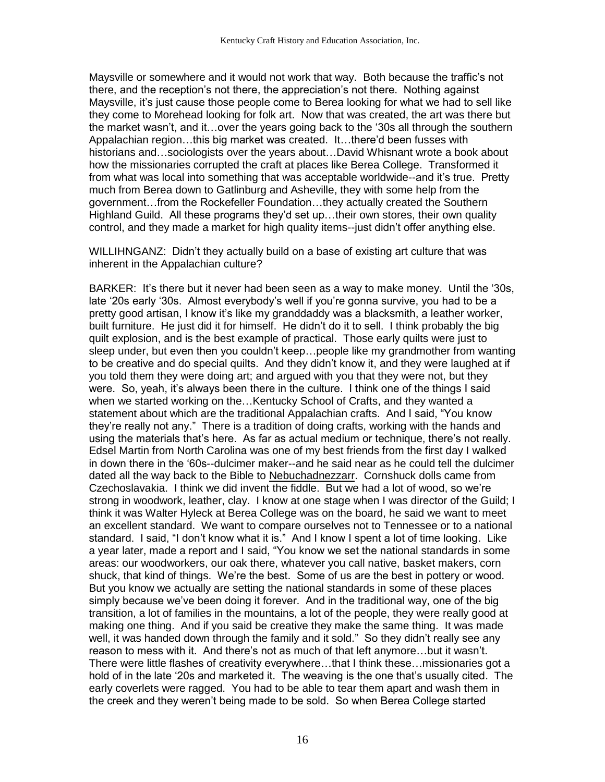Maysville or somewhere and it would not work that way. Both because the traffic's not there, and the reception's not there, the appreciation's not there. Nothing against Maysville, it's just cause those people come to Berea looking for what we had to sell like they come to Morehead looking for folk art. Now that was created, the art was there but the market wasn't, and it…over the years going back to the '30s all through the southern Appalachian region…this big market was created. It…there'd been fusses with historians and…sociologists over the years about…David Whisnant wrote a book about how the missionaries corrupted the craft at places like Berea College. Transformed it from what was local into something that was acceptable worldwide--and it's true. Pretty much from Berea down to Gatlinburg and Asheville, they with some help from the government…from the Rockefeller Foundation…they actually created the Southern Highland Guild. All these programs they'd set up…their own stores, their own quality control, and they made a market for high quality items--just didn't offer anything else.

WILLIHNGANZ: Didn't they actually build on a base of existing art culture that was inherent in the Appalachian culture?

BARKER: It's there but it never had been seen as a way to make money. Until the '30s, late '20s early '30s. Almost everybody's well if you're gonna survive, you had to be a pretty good artisan, I know it's like my granddaddy was a blacksmith, a leather worker, built furniture. He just did it for himself. He didn't do it to sell. I think probably the big quilt explosion, and is the best example of practical. Those early quilts were just to sleep under, but even then you couldn't keep…people like my grandmother from wanting to be creative and do special quilts. And they didn't know it, and they were laughed at if you told them they were doing art; and argued with you that they were not, but they were. So, yeah, it's always been there in the culture. I think one of the things I said when we started working on the…Kentucky School of Crafts, and they wanted a statement about which are the traditional Appalachian crafts. And I said, "You know they're really not any." There is a tradition of doing crafts, working with the hands and using the materials that's here. As far as actual medium or technique, there's not really. Edsel Martin from North Carolina was one of my best friends from the first day I walked in down there in the '60s--dulcimer maker--and he said near as he could tell the dulcimer dated all the way back to the Bible to Nebuchadnezzarr. Cornshuck dolls came from Czechoslavakia. I think we did invent the fiddle. But we had a lot of wood, so we're strong in woodwork, leather, clay. I know at one stage when I was director of the Guild; I think it was Walter Hyleck at Berea College was on the board, he said we want to meet an excellent standard. We want to compare ourselves not to Tennessee or to a national standard. I said, "I don't know what it is." And I know I spent a lot of time looking. Like a year later, made a report and I said, "You know we set the national standards in some areas: our woodworkers, our oak there, whatever you call native, basket makers, corn shuck, that kind of things. We're the best. Some of us are the best in pottery or wood. But you know we actually are setting the national standards in some of these places simply because we've been doing it forever. And in the traditional way, one of the big transition, a lot of families in the mountains, a lot of the people, they were really good at making one thing. And if you said be creative they make the same thing. It was made well, it was handed down through the family and it sold." So they didn't really see any reason to mess with it. And there's not as much of that left anymore…but it wasn't. There were little flashes of creativity everywhere…that I think these…missionaries got a hold of in the late '20s and marketed it. The weaving is the one that's usually cited. The early coverlets were ragged. You had to be able to tear them apart and wash them in the creek and they weren't being made to be sold. So when Berea College started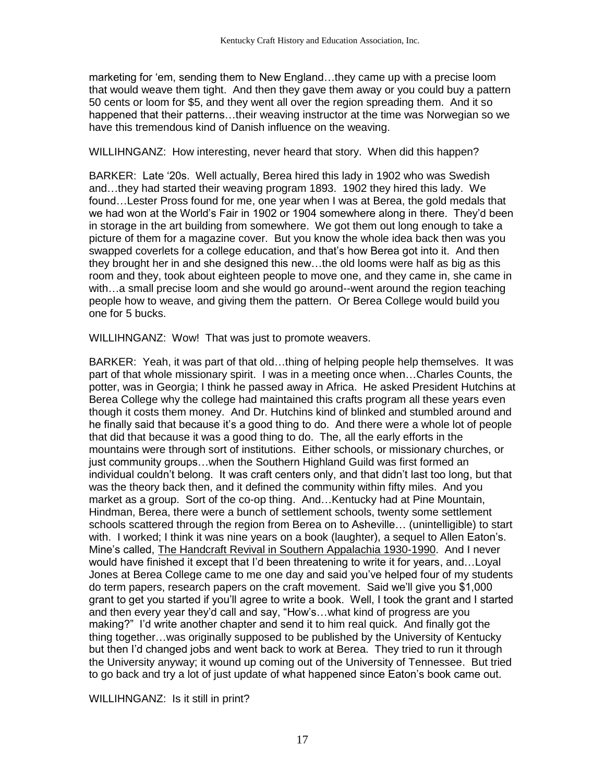marketing for 'em, sending them to New England…they came up with a precise loom that would weave them tight. And then they gave them away or you could buy a pattern 50 cents or loom for \$5, and they went all over the region spreading them. And it so happened that their patterns…their weaving instructor at the time was Norwegian so we have this tremendous kind of Danish influence on the weaving.

WILLIHNGANZ: How interesting, never heard that story. When did this happen?

BARKER: Late '20s. Well actually, Berea hired this lady in 1902 who was Swedish and…they had started their weaving program 1893. 1902 they hired this lady. We found…Lester Pross found for me, one year when I was at Berea, the gold medals that we had won at the World's Fair in 1902 or 1904 somewhere along in there. They'd been in storage in the art building from somewhere. We got them out long enough to take a picture of them for a magazine cover. But you know the whole idea back then was you swapped coverlets for a college education, and that's how Berea got into it. And then they brought her in and she designed this new…the old looms were half as big as this room and they, took about eighteen people to move one, and they came in, she came in with…a small precise loom and she would go around--went around the region teaching people how to weave, and giving them the pattern. Or Berea College would build you one for 5 bucks.

WILLIHNGANZ: Wow! That was just to promote weavers.

BARKER: Yeah, it was part of that old…thing of helping people help themselves. It was part of that whole missionary spirit. I was in a meeting once when…Charles Counts, the potter, was in Georgia; I think he passed away in Africa. He asked President Hutchins at Berea College why the college had maintained this crafts program all these years even though it costs them money. And Dr. Hutchins kind of blinked and stumbled around and he finally said that because it's a good thing to do. And there were a whole lot of people that did that because it was a good thing to do. The, all the early efforts in the mountains were through sort of institutions. Either schools, or missionary churches, or just community groups…when the Southern Highland Guild was first formed an individual couldn't belong. It was craft centers only, and that didn't last too long, but that was the theory back then, and it defined the community within fifty miles. And you market as a group. Sort of the co-op thing. And…Kentucky had at Pine Mountain, Hindman, Berea, there were a bunch of settlement schools, twenty some settlement schools scattered through the region from Berea on to Asheville… (unintelligible) to start with. I worked; I think it was nine years on a book (laughter), a sequel to Allen Eaton's. Mine's called, The Handcraft Revival in Southern Appalachia 1930-1990. And I never would have finished it except that I'd been threatening to write it for years, and…Loyal Jones at Berea College came to me one day and said you've helped four of my students do term papers, research papers on the craft movement. Said we'll give you \$1,000 grant to get you started if you'll agree to write a book. Well, I took the grant and I started and then every year they'd call and say, "How's…what kind of progress are you making?" I'd write another chapter and send it to him real quick. And finally got the thing together…was originally supposed to be published by the University of Kentucky but then I'd changed jobs and went back to work at Berea. They tried to run it through the University anyway; it wound up coming out of the University of Tennessee. But tried to go back and try a lot of just update of what happened since Eaton's book came out.

WILLIHNGANZ: Is it still in print?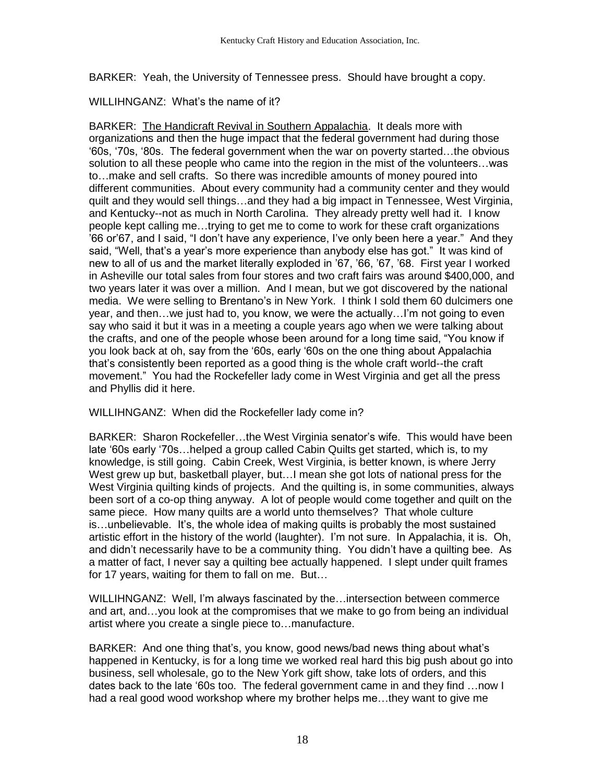BARKER: Yeah, the University of Tennessee press. Should have brought a copy.

# WILLIHNGANZ: What's the name of it?

BARKER: The Handicraft Revival in Southern Appalachia. It deals more with organizations and then the huge impact that the federal government had during those '60s, '70s, '80s. The federal government when the war on poverty started…the obvious solution to all these people who came into the region in the mist of the volunteers…was to…make and sell crafts. So there was incredible amounts of money poured into different communities. About every community had a community center and they would quilt and they would sell things…and they had a big impact in Tennessee, West Virginia, and Kentucky--not as much in North Carolina. They already pretty well had it. I know people kept calling me…trying to get me to come to work for these craft organizations '66 or'67, and I said, "I don't have any experience, I've only been here a year." And they said, "Well, that's a year's more experience than anybody else has got." It was kind of new to all of us and the market literally exploded in '67, '66, '67, '68. First year I worked in Asheville our total sales from four stores and two craft fairs was around \$400,000, and two years later it was over a million. And I mean, but we got discovered by the national media. We were selling to Brentano's in New York. I think I sold them 60 dulcimers one year, and then…we just had to, you know, we were the actually…I'm not going to even say who said it but it was in a meeting a couple years ago when we were talking about the crafts, and one of the people whose been around for a long time said, "You know if you look back at oh, say from the '60s, early '60s on the one thing about Appalachia that's consistently been reported as a good thing is the whole craft world--the craft movement." You had the Rockefeller lady come in West Virginia and get all the press and Phyllis did it here.

WILLIHNGANZ: When did the Rockefeller lady come in?

BARKER: Sharon Rockefeller…the West Virginia senator's wife. This would have been late '60s early '70s…helped a group called Cabin Quilts get started, which is, to my knowledge, is still going. Cabin Creek, West Virginia, is better known, is where Jerry West grew up but, basketball player, but...I mean she got lots of national press for the West Virginia quilting kinds of projects. And the quilting is, in some communities, always been sort of a co-op thing anyway. A lot of people would come together and quilt on the same piece. How many quilts are a world unto themselves? That whole culture is…unbelievable. It's, the whole idea of making quilts is probably the most sustained artistic effort in the history of the world (laughter). I'm not sure. In Appalachia, it is. Oh, and didn't necessarily have to be a community thing. You didn't have a quilting bee. As a matter of fact, I never say a quilting bee actually happened. I slept under quilt frames for 17 years, waiting for them to fall on me. But…

WILLIHNGANZ: Well, I'm always fascinated by the…intersection between commerce and art, and…you look at the compromises that we make to go from being an individual artist where you create a single piece to…manufacture.

BARKER: And one thing that's, you know, good news/bad news thing about what's happened in Kentucky, is for a long time we worked real hard this big push about go into business, sell wholesale, go to the New York gift show, take lots of orders, and this dates back to the late '60s too. The federal government came in and they find …now I had a real good wood workshop where my brother helps me…they want to give me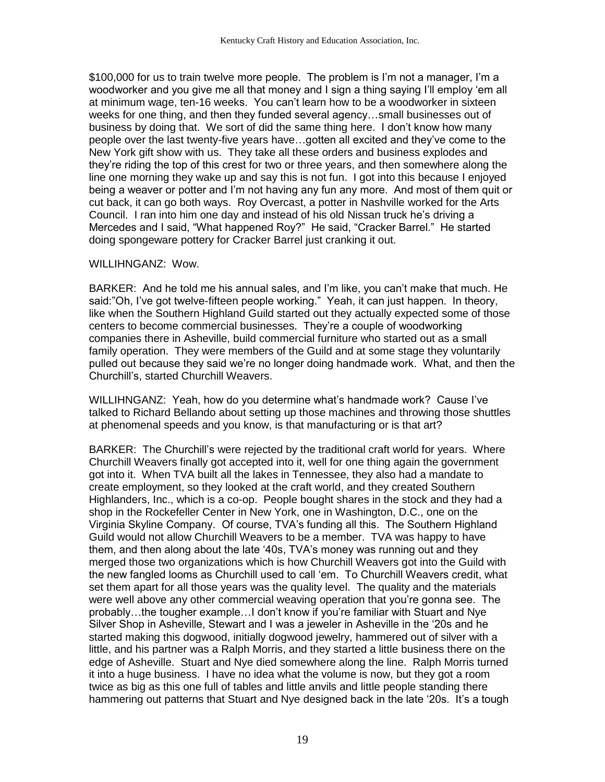\$100,000 for us to train twelve more people. The problem is I'm not a manager, I'm a woodworker and you give me all that money and I sign a thing saying I'll employ 'em all at minimum wage, ten-16 weeks. You can't learn how to be a woodworker in sixteen weeks for one thing, and then they funded several agency…small businesses out of business by doing that. We sort of did the same thing here. I don't know how many people over the last twenty-five years have…gotten all excited and they've come to the New York gift show with us. They take all these orders and business explodes and they're riding the top of this crest for two or three years, and then somewhere along the line one morning they wake up and say this is not fun. I got into this because I enjoyed being a weaver or potter and I'm not having any fun any more. And most of them quit or cut back, it can go both ways. Roy Overcast, a potter in Nashville worked for the Arts Council. I ran into him one day and instead of his old Nissan truck he's driving a Mercedes and I said, "What happened Roy?" He said, "Cracker Barrel." He started doing spongeware pottery for Cracker Barrel just cranking it out.

#### WILLIHNGANZ: Wow.

BARKER: And he told me his annual sales, and I'm like, you can't make that much. He said:"Oh, I've got twelve-fifteen people working." Yeah, it can just happen. In theory, like when the Southern Highland Guild started out they actually expected some of those centers to become commercial businesses. They're a couple of woodworking companies there in Asheville, build commercial furniture who started out as a small family operation. They were members of the Guild and at some stage they voluntarily pulled out because they said we're no longer doing handmade work. What, and then the Churchill's, started Churchill Weavers.

WILLIHNGANZ: Yeah, how do you determine what's handmade work? Cause I've talked to Richard Bellando about setting up those machines and throwing those shuttles at phenomenal speeds and you know, is that manufacturing or is that art?

BARKER: The Churchill's were rejected by the traditional craft world for years. Where Churchill Weavers finally got accepted into it, well for one thing again the government got into it. When TVA built all the lakes in Tennessee, they also had a mandate to create employment, so they looked at the craft world, and they created Southern Highlanders, Inc., which is a co-op. People bought shares in the stock and they had a shop in the Rockefeller Center in New York, one in Washington, D.C., one on the Virginia Skyline Company. Of course, TVA's funding all this. The Southern Highland Guild would not allow Churchill Weavers to be a member. TVA was happy to have them, and then along about the late '40s, TVA's money was running out and they merged those two organizations which is how Churchill Weavers got into the Guild with the new fangled looms as Churchill used to call 'em. To Churchill Weavers credit, what set them apart for all those years was the quality level. The quality and the materials were well above any other commercial weaving operation that you're gonna see. The probably…the tougher example…I don't know if you're familiar with Stuart and Nye Silver Shop in Asheville, Stewart and I was a jeweler in Asheville in the '20s and he started making this dogwood, initially dogwood jewelry, hammered out of silver with a little, and his partner was a Ralph Morris, and they started a little business there on the edge of Asheville. Stuart and Nye died somewhere along the line. Ralph Morris turned it into a huge business. I have no idea what the volume is now, but they got a room twice as big as this one full of tables and little anvils and little people standing there hammering out patterns that Stuart and Nye designed back in the late '20s. It's a tough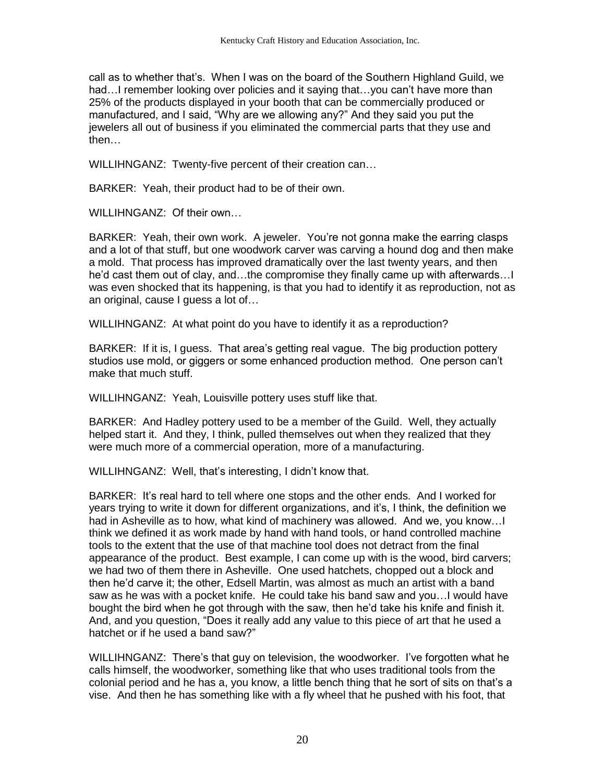call as to whether that's. When I was on the board of the Southern Highland Guild, we had…I remember looking over policies and it saying that…you can't have more than 25% of the products displayed in your booth that can be commercially produced or manufactured, and I said, "Why are we allowing any?" And they said you put the jewelers all out of business if you eliminated the commercial parts that they use and then…

WILLIHNGANZ: Twenty-five percent of their creation can…

BARKER: Yeah, their product had to be of their own.

WILLIHNGANZ: Of their own…

BARKER: Yeah, their own work. A jeweler. You're not gonna make the earring clasps and a lot of that stuff, but one woodwork carver was carving a hound dog and then make a mold. That process has improved dramatically over the last twenty years, and then he'd cast them out of clay, and…the compromise they finally came up with afterwards…I was even shocked that its happening, is that you had to identify it as reproduction, not as an original, cause I guess a lot of…

WILLIHNGANZ: At what point do you have to identify it as a reproduction?

BARKER: If it is, I guess. That area's getting real vague. The big production pottery studios use mold, or giggers or some enhanced production method. One person can't make that much stuff.

WILLIHNGANZ: Yeah, Louisville pottery uses stuff like that.

BARKER: And Hadley pottery used to be a member of the Guild. Well, they actually helped start it. And they, I think, pulled themselves out when they realized that they were much more of a commercial operation, more of a manufacturing.

WILLIHNGANZ: Well, that's interesting, I didn't know that.

BARKER: It's real hard to tell where one stops and the other ends. And I worked for years trying to write it down for different organizations, and it's, I think, the definition we had in Asheville as to how, what kind of machinery was allowed. And we, you know…I think we defined it as work made by hand with hand tools, or hand controlled machine tools to the extent that the use of that machine tool does not detract from the final appearance of the product. Best example, I can come up with is the wood, bird carvers; we had two of them there in Asheville. One used hatchets, chopped out a block and then he'd carve it; the other, Edsell Martin, was almost as much an artist with a band saw as he was with a pocket knife. He could take his band saw and you…I would have bought the bird when he got through with the saw, then he'd take his knife and finish it. And, and you question, "Does it really add any value to this piece of art that he used a hatchet or if he used a band saw?"

WILLIHNGANZ: There's that guy on television, the woodworker. I've forgotten what he calls himself, the woodworker, something like that who uses traditional tools from the colonial period and he has a, you know, a little bench thing that he sort of sits on that's a vise. And then he has something like with a fly wheel that he pushed with his foot, that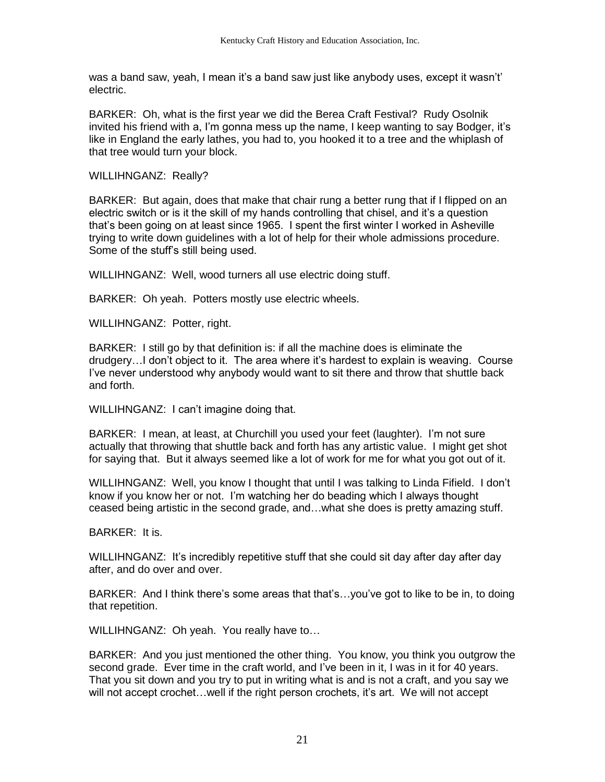was a band saw, yeah, I mean it's a band saw just like anybody uses, except it wasn't' electric.

BARKER: Oh, what is the first year we did the Berea Craft Festival? Rudy Osolnik invited his friend with a, I'm gonna mess up the name, I keep wanting to say Bodger, it's like in England the early lathes, you had to, you hooked it to a tree and the whiplash of that tree would turn your block.

WILLIHNGANZ: Really?

BARKER: But again, does that make that chair rung a better rung that if I flipped on an electric switch or is it the skill of my hands controlling that chisel, and it's a question that's been going on at least since 1965. I spent the first winter I worked in Asheville trying to write down guidelines with a lot of help for their whole admissions procedure. Some of the stuff's still being used.

WILLIHNGANZ: Well, wood turners all use electric doing stuff.

BARKER: Oh yeah. Potters mostly use electric wheels.

WILLIHNGANZ: Potter, right.

BARKER: I still go by that definition is: if all the machine does is eliminate the drudgery…I don't object to it. The area where it's hardest to explain is weaving. Course I've never understood why anybody would want to sit there and throw that shuttle back and forth.

WILLIHNGANZ: I can't imagine doing that.

BARKER: I mean, at least, at Churchill you used your feet (laughter). I'm not sure actually that throwing that shuttle back and forth has any artistic value. I might get shot for saying that. But it always seemed like a lot of work for me for what you got out of it.

WILLIHNGANZ: Well, you know I thought that until I was talking to Linda Fifield. I don't know if you know her or not. I'm watching her do beading which I always thought ceased being artistic in the second grade, and…what she does is pretty amazing stuff.

BARKER: It is.

WILLIHNGANZ: It's incredibly repetitive stuff that she could sit day after day after day after, and do over and over.

BARKER: And I think there's some areas that that's…you've got to like to be in, to doing that repetition.

WILLIHNGANZ: Oh yeah. You really have to…

BARKER: And you just mentioned the other thing. You know, you think you outgrow the second grade. Ever time in the craft world, and I've been in it, I was in it for 40 years. That you sit down and you try to put in writing what is and is not a craft, and you say we will not accept crochet…well if the right person crochets, it's art. We will not accept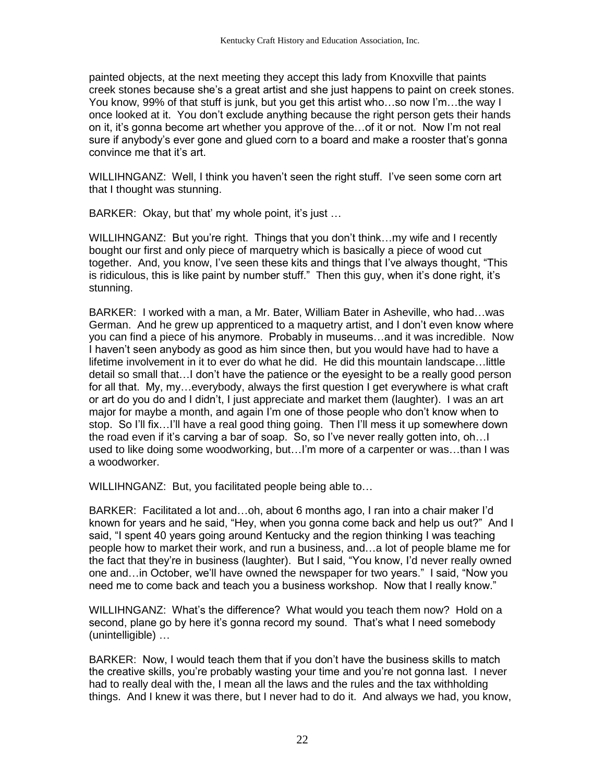painted objects, at the next meeting they accept this lady from Knoxville that paints creek stones because she's a great artist and she just happens to paint on creek stones. You know, 99% of that stuff is junk, but you get this artist who…so now I'm…the way I once looked at it. You don't exclude anything because the right person gets their hands on it, it's gonna become art whether you approve of the…of it or not. Now I'm not real sure if anybody's ever gone and glued corn to a board and make a rooster that's gonna convince me that it's art.

WILLIHNGANZ: Well, I think you haven't seen the right stuff. I've seen some corn art that I thought was stunning.

BARKER: Okay, but that' my whole point, it's just …

WILLIHNGANZ: But you're right. Things that you don't think…my wife and I recently bought our first and only piece of marquetry which is basically a piece of wood cut together. And, you know, I've seen these kits and things that I've always thought, "This is ridiculous, this is like paint by number stuff." Then this guy, when it's done right, it's stunning.

BARKER: I worked with a man, a Mr. Bater, William Bater in Asheville, who had…was German. And he grew up apprenticed to a maquetry artist, and I don't even know where you can find a piece of his anymore. Probably in museums…and it was incredible. Now I haven't seen anybody as good as him since then, but you would have had to have a lifetime involvement in it to ever do what he did. He did this mountain landscape…little detail so small that…I don't have the patience or the eyesight to be a really good person for all that. My, my…everybody, always the first question I get everywhere is what craft or art do you do and I didn't, I just appreciate and market them (laughter). I was an art major for maybe a month, and again I'm one of those people who don't know when to stop. So I'll fix…I'll have a real good thing going. Then I'll mess it up somewhere down the road even if it's carving a bar of soap. So, so I've never really gotten into, oh…I used to like doing some woodworking, but…I'm more of a carpenter or was…than I was a woodworker.

WILLIHNGANZ: But, you facilitated people being able to…

BARKER: Facilitated a lot and…oh, about 6 months ago, I ran into a chair maker I'd known for years and he said, "Hey, when you gonna come back and help us out?" And I said, "I spent 40 years going around Kentucky and the region thinking I was teaching people how to market their work, and run a business, and…a lot of people blame me for the fact that they're in business (laughter). But I said, "You know, I'd never really owned one and…in October, we'll have owned the newspaper for two years." I said, "Now you need me to come back and teach you a business workshop. Now that I really know."

WILLIHNGANZ: What's the difference? What would you teach them now? Hold on a second, plane go by here it's gonna record my sound. That's what I need somebody (unintelligible) …

BARKER: Now, I would teach them that if you don't have the business skills to match the creative skills, you're probably wasting your time and you're not gonna last. I never had to really deal with the, I mean all the laws and the rules and the tax withholding things. And I knew it was there, but I never had to do it. And always we had, you know,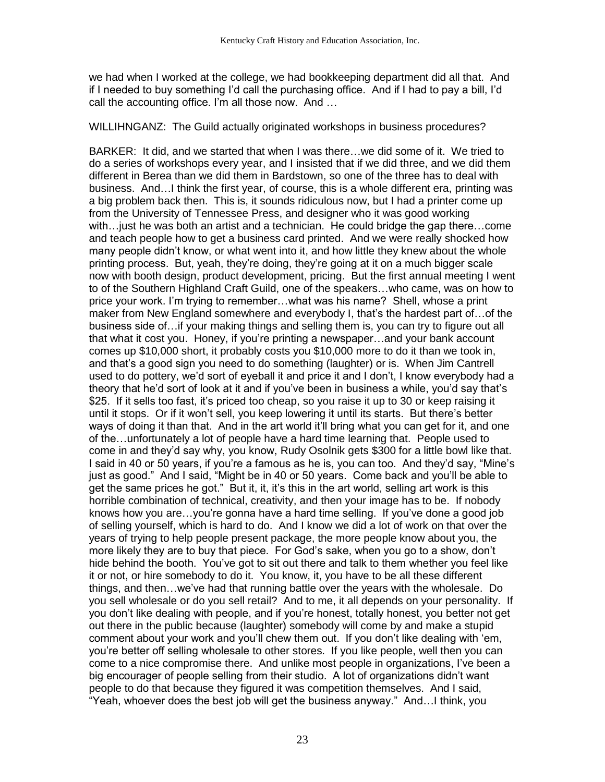we had when I worked at the college, we had bookkeeping department did all that. And if I needed to buy something I'd call the purchasing office. And if I had to pay a bill, I'd call the accounting office. I'm all those now. And …

#### WILLIHNGANZ: The Guild actually originated workshops in business procedures?

BARKER: It did, and we started that when I was there…we did some of it. We tried to do a series of workshops every year, and I insisted that if we did three, and we did them different in Berea than we did them in Bardstown, so one of the three has to deal with business. And…I think the first year, of course, this is a whole different era, printing was a big problem back then. This is, it sounds ridiculous now, but I had a printer come up from the University of Tennessee Press, and designer who it was good working with…just he was both an artist and a technician. He could bridge the gap there…come and teach people how to get a business card printed. And we were really shocked how many people didn't know, or what went into it, and how little they knew about the whole printing process. But, yeah, they're doing, they're going at it on a much bigger scale now with booth design, product development, pricing. But the first annual meeting I went to of the Southern Highland Craft Guild, one of the speakers…who came, was on how to price your work. I'm trying to remember…what was his name? Shell, whose a print maker from New England somewhere and everybody I, that's the hardest part of…of the business side of…if your making things and selling them is, you can try to figure out all that what it cost you. Honey, if you're printing a newspaper…and your bank account comes up \$10,000 short, it probably costs you \$10,000 more to do it than we took in, and that's a good sign you need to do something (laughter) or is. When Jim Cantrell used to do pottery, we'd sort of eyeball it and price it and I don't, I know everybody had a theory that he'd sort of look at it and if you've been in business a while, you'd say that's \$25. If it sells too fast, it's priced too cheap, so you raise it up to 30 or keep raising it until it stops. Or if it won't sell, you keep lowering it until its starts. But there's better ways of doing it than that. And in the art world it'll bring what you can get for it, and one of the…unfortunately a lot of people have a hard time learning that. People used to come in and they'd say why, you know, Rudy Osolnik gets \$300 for a little bowl like that. I said in 40 or 50 years, if you're a famous as he is, you can too. And they'd say, "Mine's just as good." And I said, "Might be in 40 or 50 years. Come back and you'll be able to get the same prices he got." But it, it, it's this in the art world, selling art work is this horrible combination of technical, creativity, and then your image has to be. If nobody knows how you are…you're gonna have a hard time selling. If you've done a good job of selling yourself, which is hard to do. And I know we did a lot of work on that over the years of trying to help people present package, the more people know about you, the more likely they are to buy that piece. For God's sake, when you go to a show, don't hide behind the booth. You've got to sit out there and talk to them whether you feel like it or not, or hire somebody to do it. You know, it, you have to be all these different things, and then…we've had that running battle over the years with the wholesale. Do you sell wholesale or do you sell retail? And to me, it all depends on your personality. If you don't like dealing with people, and if you're honest, totally honest, you better not get out there in the public because (laughter) somebody will come by and make a stupid comment about your work and you'll chew them out. If you don't like dealing with 'em, you're better off selling wholesale to other stores. If you like people, well then you can come to a nice compromise there. And unlike most people in organizations, I've been a big encourager of people selling from their studio. A lot of organizations didn't want people to do that because they figured it was competition themselves. And I said, "Yeah, whoever does the best job will get the business anyway." And…I think, you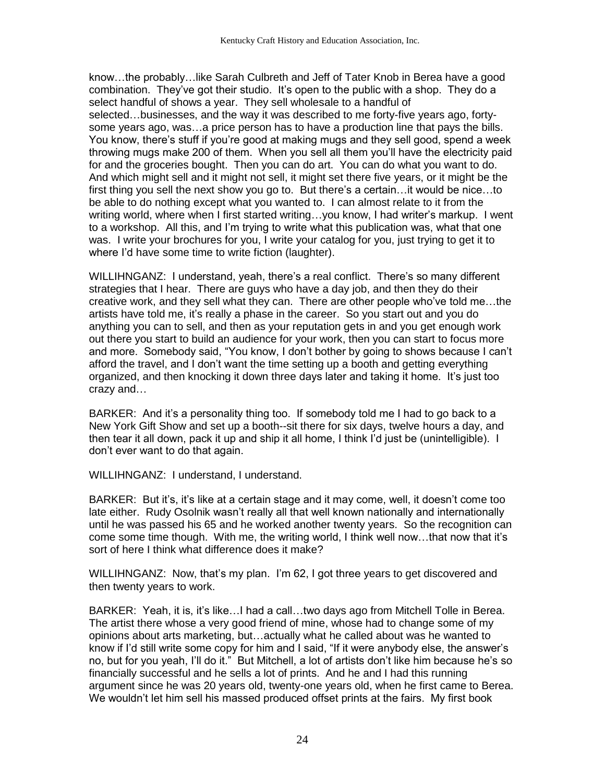know…the probably…like Sarah Culbreth and Jeff of Tater Knob in Berea have a good combination. They've got their studio. It's open to the public with a shop. They do a select handful of shows a year. They sell wholesale to a handful of selected…businesses, and the way it was described to me forty-five years ago, fortysome years ago, was…a price person has to have a production line that pays the bills. You know, there's stuff if you're good at making mugs and they sell good, spend a week throwing mugs make 200 of them. When you sell all them you'll have the electricity paid for and the groceries bought. Then you can do art. You can do what you want to do. And which might sell and it might not sell, it might set there five years, or it might be the first thing you sell the next show you go to. But there's a certain…it would be nice…to be able to do nothing except what you wanted to. I can almost relate to it from the writing world, where when I first started writing…you know, I had writer's markup. I went to a workshop. All this, and I'm trying to write what this publication was, what that one was. I write your brochures for you, I write your catalog for you, just trying to get it to where I'd have some time to write fiction (laughter).

WILLIHNGANZ: I understand, yeah, there's a real conflict. There's so many different strategies that I hear. There are guys who have a day job, and then they do their creative work, and they sell what they can. There are other people who've told me…the artists have told me, it's really a phase in the career. So you start out and you do anything you can to sell, and then as your reputation gets in and you get enough work out there you start to build an audience for your work, then you can start to focus more and more. Somebody said, "You know, I don't bother by going to shows because I can't afford the travel, and I don't want the time setting up a booth and getting everything organized, and then knocking it down three days later and taking it home. It's just too crazy and…

BARKER: And it's a personality thing too. If somebody told me I had to go back to a New York Gift Show and set up a booth--sit there for six days, twelve hours a day, and then tear it all down, pack it up and ship it all home, I think I'd just be (unintelligible). I don't ever want to do that again.

WILLIHNGANZ: I understand, I understand.

BARKER: But it's, it's like at a certain stage and it may come, well, it doesn't come too late either. Rudy Osolnik wasn't really all that well known nationally and internationally until he was passed his 65 and he worked another twenty years. So the recognition can come some time though. With me, the writing world, I think well now…that now that it's sort of here I think what difference does it make?

WILLIHNGANZ: Now, that's my plan. I'm 62, I got three years to get discovered and then twenty years to work.

BARKER: Yeah, it is, it's like…I had a call…two days ago from Mitchell Tolle in Berea. The artist there whose a very good friend of mine, whose had to change some of my opinions about arts marketing, but…actually what he called about was he wanted to know if I'd still write some copy for him and I said, "If it were anybody else, the answer's no, but for you yeah, I'll do it." But Mitchell, a lot of artists don't like him because he's so financially successful and he sells a lot of prints. And he and I had this running argument since he was 20 years old, twenty-one years old, when he first came to Berea. We wouldn't let him sell his massed produced offset prints at the fairs. My first book